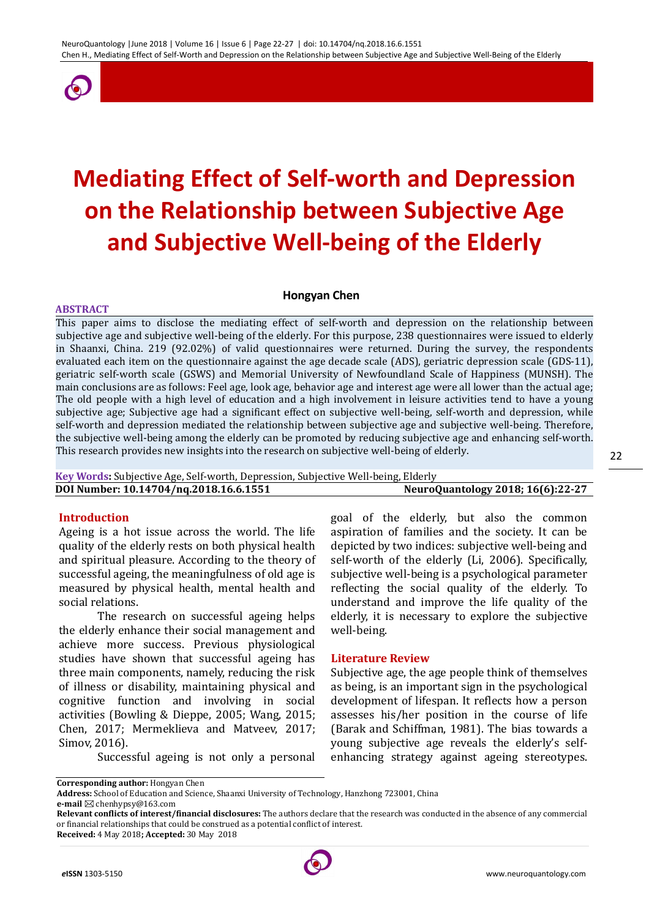

**ABSTRACT**

# **Mediating Effect of Self-worth and Depression on the Relationship between Subjective Age and Subjective Well-being of the Elderly**

#### **Hongyan Chen \***

This paper aims to disclose the mediating effect of self-worth and depression on the relationship between subjective age and subjective well-being of the elderly. For this purpose, 238 questionnaires were issued to elderly in Shaanxi, China. 219 (92.02%) of valid questionnaires were returned. During the survey, the respondents evaluated each item on the questionnaire against the age decade scale (ADS), geriatric depression scale (GDS-11), geriatric self-worth scale (GSWS) and Memorial University of Newfoundland Scale of Happiness (MUNSH). The main conclusions are as follows: Feel age, look age, behavior age and interest age were all lower than the actual age; The old people with a high level of education and a high involvement in leisure activities tend to have a young subjective age; Subjective age had a significant effect on subjective well-being, self-worth and depression, while self-worth and depression mediated the relationship between subjective age and subjective well-being. Therefore, the subjective well-being among the elderly can be promoted by reducing subjective age and enhancing self-worth. This research provides new insights into the research on subjective well-being of elderly.

**Key Words:** Subjective Age, Self-worth, Depression, Subjective Well-being, Elderly **DOI Number: 10.14704/nq.2018.16.6.1551 NeuroQuantology 2018; 16(6):22-27**

#### **Introduction**

Ageing is a hot issue across the world. The life quality of the elderly rests on both physical health and spiritual pleasure. According to the theory of successful ageing, the meaningfulness of old age is measured by physical health, mental health and social relations.

The research on successful ageing helps the elderly enhance their social management and achieve more success. Previous physiological studies have shown that successful ageing has three main components, namely, reducing the risk of illness or disability, maintaining physical and cognitive function and involving in social activities (Bowling & Dieppe, 2005; Wang, 2015; Chen, 2017; Mermeklieva and Matveev, 2017; Simov, 2016).

goal of the elderly, but also the common aspiration of families and the society. It can be depicted by two indices: subjective well-being and self-worth of the elderly (Li, 2006). Specifically, subjective well-being is a psychological parameter reflecting the social quality of the elderly. To understand and improve the life quality of the elderly, it is necessary to explore the subjective well-being.

#### **Literature Review**

Subjective age, the age people think of themselves as being, is an important sign in the psychological development of lifespan. It reflects how a person assesses his/her position in the course of life (Barak and Schiffman, 1981). The bias towards a young subjective age reveals the elderly's selfenhancing strategy against ageing stereotypes.

Successful ageing is not only a personal

**Corresponding author:** Hongyan Chen

**e-mail** ⊠ chenhypsy@163.com

**Address:** School of Education and Science, Shaanxi University of Technology, Hanzhong 723001, China

**Relevant conflicts of interest/financial disclosures:** The authors declare that the research was conducted in the absence of any commercial or financial relationships that could be construed as a potential conflict of interest. **Received:** 4 May 2018**; Accepted:** 30 May 2018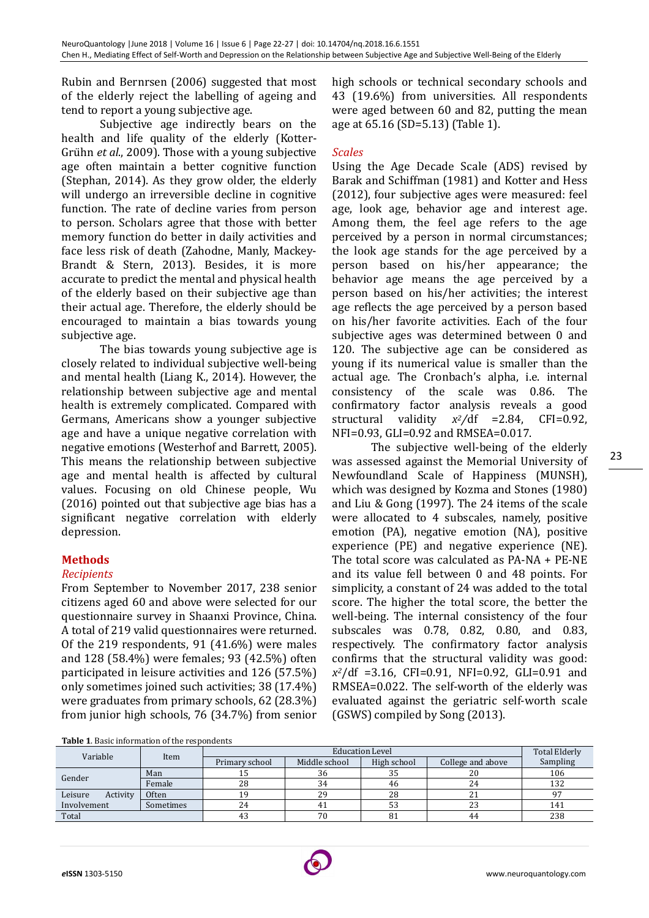Rubin and Bernrsen (2006) suggested that most of the elderly reject the labelling of ageing and tend to report a young subjective age.

Subjective age indirectly bears on the health and life quality of the elderly (Kotter-Grühn *et al.*, 2009). Those with a young subjective age often maintain a better cognitive function (Stephan, 2014). As they grow older, the elderly will undergo an irreversible decline in cognitive function. The rate of decline varies from person to person. Scholars agree that those with better memory function do better in daily activities and face less risk of death (Zahodne, Manly, Mackey-Brandt & Stern, 2013). Besides, it is more accurate to predict the mental and physical health of the elderly based on their subjective age than their actual age. Therefore, the elderly should be encouraged to maintain a bias towards young subjective age.

The bias towards young subjective age is closely related to individual subjective well-being and mental health (Liang K., 2014). However, the relationship between subjective age and mental health is extremely complicated. Compared with Germans, Americans show a younger subjective age and have a unique negative correlation with negative emotions (Westerhof and Barrett, 2005). This means the relationship between subjective age and mental health is affected by cultural values. Focusing on old Chinese people, Wu  $(2016)$  pointed out that subjective age bias has a significant negative correlation with elderly depression. 

# **Methods**

### *Recipients*

From September to November 2017, 238 senior citizens aged 60 and above were selected for our questionnaire survey in Shaanxi Province, China. A total of 219 valid questionnaires were returned. Of the  $219$  respondents, 91 (41.6%) were males and 128 (58.4%) were females; 93 (42.5%) often participated in leisure activities and  $126$  (57.5%) only sometimes joined such activities; 38 (17.4%) were graduates from primary schools,  $62$  (28.3%) from junior high schools,  $76$  (34.7%) from senior

high schools or technical secondary schools and 43 (19.6%) from universities. All respondents were aged between 60 and 82, putting the mean age at 65.16 (SD=5.13) (Table 1).

# *Scales*

Using the Age Decade Scale (ADS) revised by Barak and Schiffman (1981) and Kotter and Hess (2012), four subjective ages were measured: feel age, look age, behavior age and interest age. Among them, the feel age refers to the age perceived by a person in normal circumstances; the look age stands for the age perceived by a person based on his/her appearance; the behavior age means the age perceived by a person based on his/her activities; the interest age reflects the age perceived by a person based on his/her favorite activities. Each of the four subjective ages was determined between 0 and 120. The subjective age can be considered as young if its numerical value is smaller than the actual age. The Cronbach's alpha, i.e. internal consistency of the scale was 0.86. The confirmatory factor analysis reveals a good structural validity  $x^2/df = 2.84$ , CFI=0.92, NFI=0.93, GLI=0.92 and RMSEA=0.017.

The subjective well-being of the elderly was assessed against the Memorial University of Newfoundland Scale of Happiness (MUNSH), which was designed by Kozma and Stones (1980) and Liu & Gong  $(1997)$ . The 24 items of the scale were allocated to 4 subscales, namely, positive emotion (PA), negative emotion (NA), positive experience (PE) and negative experience (NE). The total score was calculated as  $PA-NA + PE-NE$ and its value fell between 0 and 48 points. For simplicity, a constant of 24 was added to the total score. The higher the total score, the better the well-being. The internal consistency of the four subscales was 0.78, 0.82, 0.80, and 0.83, respectively. The confirmatory factor analysis confirms that the structural validity was good: *x <sup>2</sup>*/df =3.16, CFI=0.91, NFI=0.92, GLI=0.91 and RMSEA= $0.022$ . The self-worth of the elderly was evaluated against the geriatric self-worth scale (GSWS) compiled by Song (2013).

**Table 1**. Basic information of the respondents

| Table 1. Dasit miurimation of the respondents |                      |                |                      |             |                   |          |  |  |  |  |
|-----------------------------------------------|----------------------|----------------|----------------------|-------------|-------------------|----------|--|--|--|--|
| Variable                                      | Item                 |                | <b>Total Elderly</b> |             |                   |          |  |  |  |  |
|                                               |                      | Primary school | Middle school        | High school | College and above | Sampling |  |  |  |  |
| Gender                                        | Man                  |                | 36                   | 55          | 20                | 106      |  |  |  |  |
|                                               | Female               | 28             |                      | 46          | 24                | 132      |  |  |  |  |
| Leisure<br>Activity                           | <b>Often</b>         |                | 29                   | 28          | 21                |          |  |  |  |  |
| Involvement                                   | Sometimes            | 24             |                      | 53          | 23                | 141      |  |  |  |  |
| Total                                         | 70<br>81<br>44<br>ŦЭ |                |                      | 238         |                   |          |  |  |  |  |

23

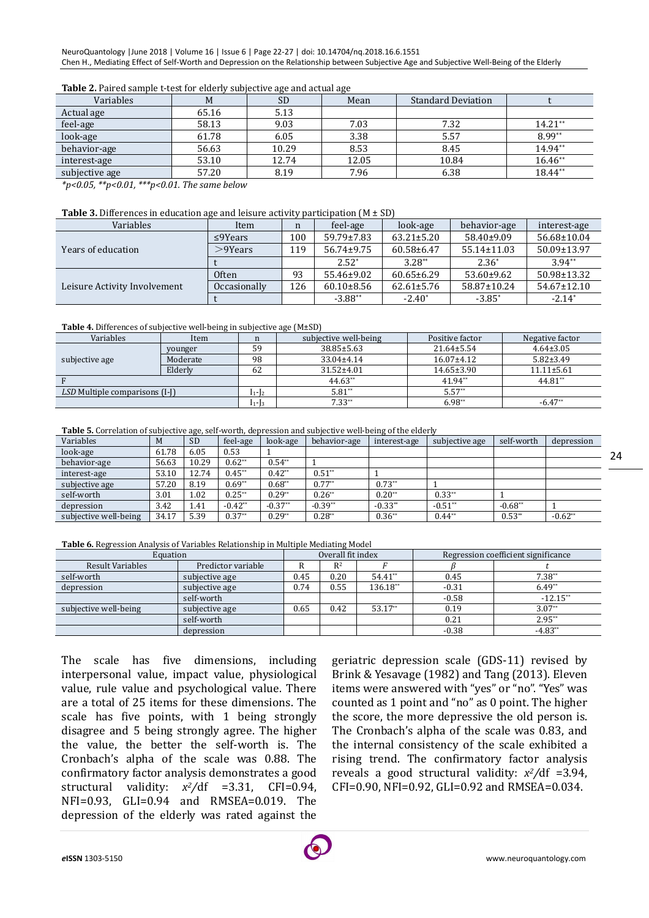#### NeuroQuantology |June 2018 | Volume 16 | Issue 6 | Page 22-27 | doi: 10.14704/nq.2018.16.6.1551 Chen H., Mediating Effect of Self-Worth and Depression on the Relationship between Subjective Age and Subjective Well-Being of the Elderly

| Table 2. Paired sample t-test for elderly subjective age and actual age |  |
|-------------------------------------------------------------------------|--|
|                                                                         |  |

|                |       | $\cdots$  | $\sim$ $\sim$ $\sim$ |                           |           |
|----------------|-------|-----------|----------------------|---------------------------|-----------|
| Variables      | M     | <b>SD</b> | Mean                 | <b>Standard Deviation</b> |           |
| Actual age     | 65.16 | 5.13      |                      |                           |           |
| feel-age       | 58.13 | 9.03      | 7.03                 | 7.32                      | $14.21**$ |
| look-age       | 61.78 | 6.05      | 3.38                 | 5.57                      | 8.99**    |
| behavior-age   | 56.63 | 10.29     | 8.53                 | 8.45                      | 14.94**   |
| interest-age   | 53.10 | 12.74     | 12.05                | 10.84                     | 16.46**   |
| subjective age | 57.20 | 8.19      | 7.96                 | 6.38                      | 18.44**   |

*\*p<0.05, \*\*p<0.01, \*\*\*p<0.01. The same below* 

#### **Table 3.** Differences in education age and leisure activity participation  $(M \pm SD)$

| Variables                    | Item                       | n   | feel-age         | look-age         | behavior-age | interest-age |
|------------------------------|----------------------------|-----|------------------|------------------|--------------|--------------|
|                              | 100<br>$\leq$ 9Years       |     | $59.79 \pm 7.83$ | $63.21 \pm 5.20$ | 58.40±9.09   | 56.68±10.04  |
| Years of education           | $>9$ Years                 | 119 | 56.74±9.75       | $60.58 \pm 6.47$ | 55.14±11.03  | 50.09±13.97  |
|                              |                            |     | $2.52^*$         | $3.28**$         | $2.36*$      | $3.94**$     |
|                              | <b>Often</b>               | 93  | 55.46±9.02       | $60.65 \pm 6.29$ | 53.60±9.62   | 50.98±13.32  |
| Leisure Activity Involvement | <i><b>Occasionally</b></i> | 126 | $60.10\pm8.56$   | $62.61 \pm 5.76$ | 58.87±10.24  | 54.67±12.10  |
|                              |                            |     | $-3.88**$        | $-2.40*$         | $-3.85*$     | $-2.14*$     |

**Table 4.** Differences of subjective well-being in subjective age (M±SD)

| Variables                             | Item          | n                | subjective well-being | Positive factor  | Negative factor |
|---------------------------------------|---------------|------------------|-----------------------|------------------|-----------------|
|                                       | younger       | 59               | $38.85 \pm 5.63$      | $21.64 \pm 5.54$ | $4.64 \pm 3.05$ |
| subjective age                        | Moderate      | 98               | $33.04 \pm 4.14$      | $16.07 \pm 4.12$ | $5.82 \pm 3.49$ |
|                                       | Elderly<br>62 | $31.52 \pm 4.01$ | $14.65 \pm 3.90$      | $11.11 \pm 5.61$ |                 |
|                                       |               |                  | 44.63**               | 41.94**          | 44.81**         |
| <i>LSD</i> Multiple comparisons (I-J) |               | $I_1-I_2$        | $5.81**$              | $5.57**$         |                 |
|                                       |               | $I_1-I_3$        | $7.33**$              | $6.98**$         | $-6.47**$       |

Table 5. Correlation of subjective age, self-worth, depression and subjective well-being of the elderly

| Variables             | M     | <b>SD</b> | feel-age  | look-age  | behavior-age | interest-age | subjective age | self-worth | depression |
|-----------------------|-------|-----------|-----------|-----------|--------------|--------------|----------------|------------|------------|
| look-age              | 61.78 | 6.05      | 0.53      |           |              |              |                |            |            |
| behavior-age          | 56.63 | 10.29     | $0.62**$  | $0.54**$  |              |              |                |            |            |
| interest-age          | 53.10 | 12.74     | $0.45**$  | $0.42**$  | $0.51**$     |              |                |            |            |
| subjective age        | 57.20 | 8.19      | $0.69**$  | $0.68**$  | $0.77**$     | $0.73**$     |                |            |            |
| self-worth            | 3.01  | 1.02      | $0.25**$  | $0.29**$  | $0.26**$     | $0.20**$     | $0.33**$       |            |            |
| depression            | 3.42  | 1.41      | $-0.42**$ | $-0.37**$ | $-0.39**$    | $-0.33**$    | $-0.51**$      | $-0.68**$  |            |
| subjective well-being | 34.17 | 5.39      | $0.37**$  | $0.29**$  | $0.28**$     | $0.36**$     | $0.44**$       | $0.53**$   | $-0.62**$  |

**Table 6.** Regression Analysis of Variables Relationship in Multiple Mediating Model

| Equation              |                    |      | Overall fit index |          | Regression coefficient significance |            |  |
|-----------------------|--------------------|------|-------------------|----------|-------------------------------------|------------|--|
| Result Variables      | Predictor variable |      | $R^2$             |          |                                     |            |  |
| self-worth            | subjective age     | 0.45 | 0.20              | 54.41**  | 0.45                                | $7.38**$   |  |
| depression            | subjective age     | 0.74 | 0.55              | 136.18** | $-0.31$                             | $6.49**$   |  |
|                       | self-worth         |      |                   |          | $-0.58$                             | $-12.15**$ |  |
| subjective well-being | subjective age     | 0.65 | 0.42              | 53.17**  | 0.19                                | $3.07**$   |  |
|                       | self-worth         |      |                   |          | 0.21                                | $2.95**$   |  |
|                       | depression         |      |                   |          | $-0.38$                             | $-4.83**$  |  |

The scale has five dimensions, including interpersonal value, impact value, physiological value, rule value and psychological value. There are a total of 25 items for these dimensions. The scale has five points, with 1 being strongly disagree and 5 being strongly agree. The higher the value, the better the self-worth is. The Cronbach's alpha of the scale was 0.88. The confirmatory factor analysis demonstrates a good structural validity:  $x^2$ /df =3.31, CFI=0.94, NFI=0.93, GLI=0.94 and RMSEA=0.019. The depression of the elderly was rated against the

geriatric depression scale (GDS-11) revised by Brink & Yesavage (1982) and Tang (2013). Eleven items were answered with "yes" or "no". "Yes" was counted as  $1$  point and "no" as  $0$  point. The higher the score, the more depressive the old person is. The Cronbach's alpha of the scale was 0.83, and the internal consistency of the scale exhibited a rising trend. The confirmatory factor analysis reveals a good structural validity:  $x^2$ /df =3.94,  $CFI=0.90$ ,  $NFI=0.92$ ,  $GLI=0.92$  and  $RMSEA=0.034$ .

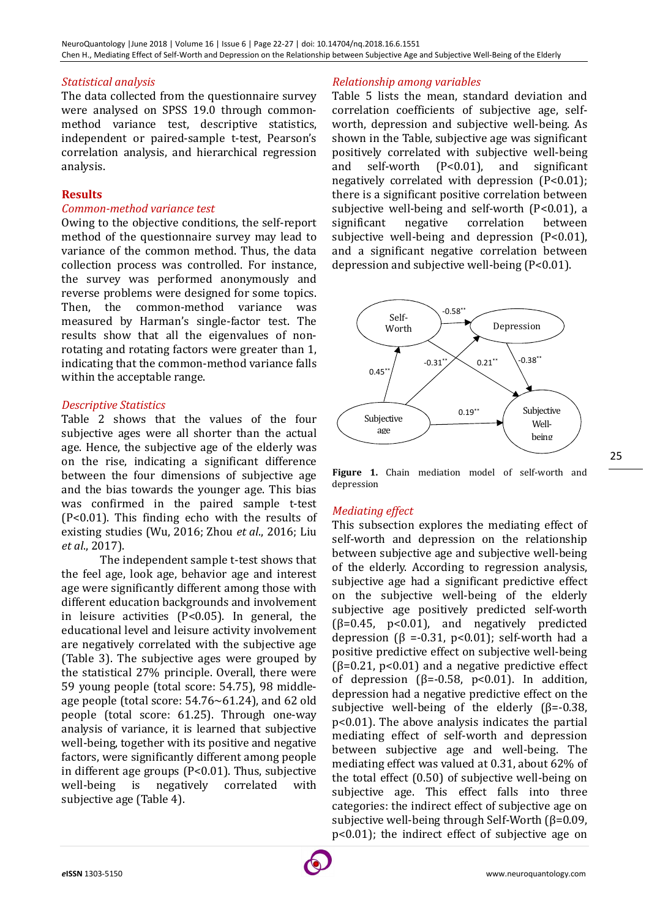## *Statistical analysis*

The data collected from the questionnaire survey were analysed on SPSS 19.0 through commonmethod variance test, descriptive statistics, independent or paired-sample t-test, Pearson's correlation analysis, and hierarchical regression analysis. 

# **Results**

## *Common-method variance test*

Owing to the objective conditions, the self-report method of the questionnaire survey may lead to variance of the common method. Thus, the data collection process was controlled. For instance, the survey was performed anonymously and reverse problems were designed for some topics. Then, the common-method variance was measured by Harman's single-factor test. The results show that all the eigenvalues of nonrotating and rotating factors were greater than 1, indicating that the common-method variance falls within the acceptable range.

# *Descriptive Statistics*

Table 2 shows that the values of the four subjective ages were all shorter than the actual age. Hence, the subjective age of the elderly was on the rise, indicating a significant difference between the four dimensions of subjective age. and the bias towards the younger age. This bias was confirmed in the paired sample t-test (P<0.01). This finding echo with the results of existing studies (Wu, 2016; Zhou *et al.*, 2016; Liu *et al*., 2017). 

The independent sample t-test shows that the feel age, look age, behavior age and interest age were significantly different among those with different education backgrounds and involvement in leisure activities  $(P<0.05)$ . In general, the educational level and leisure activity involvement are negatively correlated with the subjective age (Table 3). The subjective ages were grouped by the statistical 27% principle. Overall, there were 59 voung people (total score: 54.75), 98 middleage people (total score:  $54.76 \sim 61.24$ ), and  $62$  old people (total score: 61.25). Through one-way analysis of variance, it is learned that subjective well-being, together with its positive and negative factors, were significantly different among people in different age groups  $(P<0.01)$ . Thus, subjective well-being is negatively correlated with subjective age (Table 4).

# *Relationship among variables*

Table 5 lists the mean, standard deviation and correlation coefficients of subjective age, selfworth, depression and subjective well-being. As shown in the Table, subjective age was significant positively correlated with subjective well-being and self-worth  $(P<0.01)$ , and significant negatively correlated with depression  $(P<0.01)$ ; there is a significant positive correlation between subjective well-being and self-worth  $(P<0.01)$ , a significant negative correlation between subjective well-being and depression  $(P<0.01)$ , and a significant negative correlation between depression and subjective well-being  $(P<0.01)$ .



Figure 1. Chain mediation model of self-worth and depression 

# *Mediating effect*

This subsection explores the mediating effect of self-worth and depression on the relationship between subjective age and subjective well-being of the elderly. According to regression analysis, subjective age had a significant predictive effect on the subjective well-being of the elderly subjective age positively predicted self-worth ( $β=0.45$ ,  $p<0.01$ ), and negatively predicted depression  $(\beta = 0.31, p < 0.01)$ ; self-worth had a positive predictive effect on subjective well-being ( $β=0.21$ ,  $p<0.01$ ) and a negative predictive effect of depression ( $β=-0.58$ ,  $p<0.01$ ). In addition, depression had a negative predictive effect on the subjective well-being of the elderly  $(\beta = -0.38)$ ,  $p<0.01$ ). The above analysis indicates the partial mediating effect of self-worth and depression between subjective age and well-being. The mediating effect was valued at  $0.31$ , about  $62\%$  of the total effect  $(0.50)$  of subjective well-being on subjective age. This effect falls into three categories: the indirect effect of subjective age on subjective well-being through Self-Worth  $(\beta=0.09,$  $p<0.01$ ; the indirect effect of subjective age on

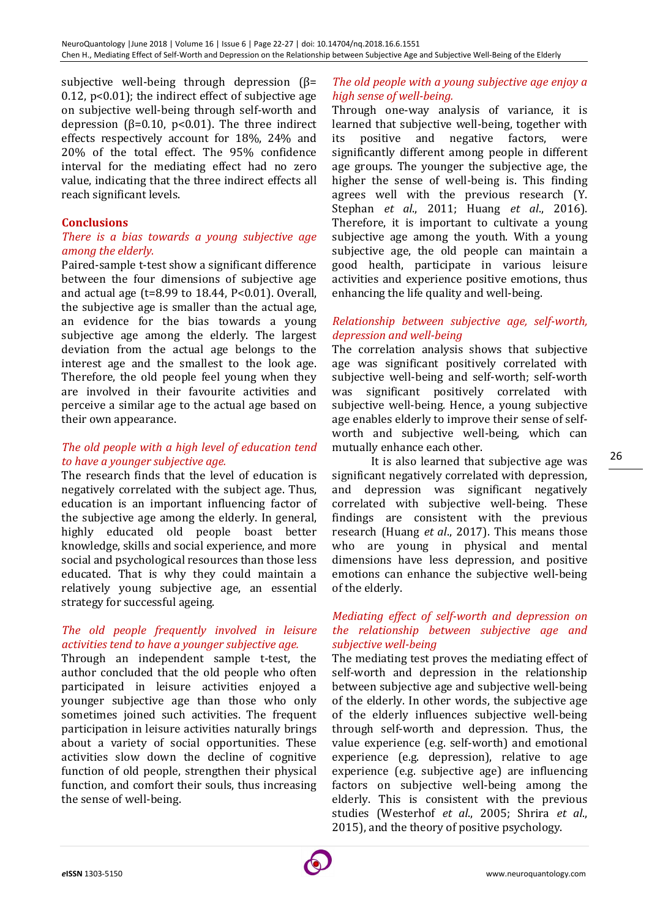subjective well-being through depression  $(β=$ 0.12,  $p<0.01$ ); the indirect effect of subjective age on subjective well-being through self-worth and depression ( $\beta$ =0.10, p<0.01). The three indirect effects respectively account for 18%, 24% and 20% of the total effect. The 95% confidence interval for the mediating effect had no zero value, indicating that the three indirect effects all reach significant levels.

# **Conclusions**

# *There is a bias towards a young subjective age among the elderly.*

Paired-sample t-test show a significant difference between the four dimensions of subjective age and actual age  $(t=8.99 \text{ to } 18.44$ ,  $P<0.01$ ). Overall, the subjective age is smaller than the actual age, an evidence for the bias towards a young subjective age among the elderly. The largest deviation from the actual age belongs to the interest age and the smallest to the look age. Therefore, the old people feel young when they are involved in their favourite activities and perceive a similar age to the actual age based on their own appearance.

# *The old people with a high level of education tend to have a younger subjective age.*

The research finds that the level of education is negatively correlated with the subject age. Thus, education is an important influencing factor of the subjective age among the elderly. In general, highly educated old people boast better knowledge, skills and social experience, and more social and psychological resources than those less educated. That is why they could maintain a relatively young subjective age, an essential strategy for successful ageing.

# *The old people frequently involved in leisure activities tend to have a younger subjective age.*

Through an independent sample t-test, the author concluded that the old people who often participated in leisure activities enjoyed a younger subjective age than those who only sometimes joined such activities. The frequent participation in leisure activities naturally brings about a variety of social opportunities. These activities slow down the decline of cognitive function of old people, strengthen their physical function, and comfort their souls, thus increasing the sense of well-being.

# *The old people with a young subjective age enjoy a high sense of well-being.*

Through one-way analysis of variance, it is learned that subjective well-being, together with its positive and negative factors, were significantly different among people in different age groups. The younger the subjective age, the higher the sense of well-being is. This finding agrees well with the previous research (Y. Stephan *et al.*, 2011; Huang *et al.*, 2016). Therefore, it is important to cultivate a young subjective age among the youth. With a young subjective age, the old people can maintain a good health, participate in various leisure activities and experience positive emotions, thus enhancing the life quality and well-being.

## *Relationship between subjective age, self-worth, depression and well-being*

The correlation analysis shows that subjective age was significant positively correlated with subjective well-being and self-worth; self-worth was significant positively correlated with subjective well-being. Hence, a young subjective age enables elderly to improve their sense of selfworth and subjective well-being, which can mutually enhance each other.

It is also learned that subjective age was significant negatively correlated with depression, and depression was significant negatively correlated with subjective well-being. These findings are consistent with the previous research (Huang *et al.*, 2017). This means those who are young in physical and mental dimensions have less depression, and positive emotions can enhance the subjective well-being of the elderly.

# *Mediating effect of self-worth and depression on the relationship between subjective age and subjective well-being*

The mediating test proves the mediating effect of self-worth and depression in the relationship between subjective age and subjective well-being of the elderly. In other words, the subjective age of the elderly influences subjective well-being through self-worth and depression. Thus, the value experience (e.g. self-worth) and emotional experience (e.g. depression), relative to age experience (e.g. subjective age) are influencing factors on subjective well-being among the elderly. This is consistent with the previous studies (Westerhof *et al.*, 2005; Shrira *et al.*, 2015), and the theory of positive psychology.